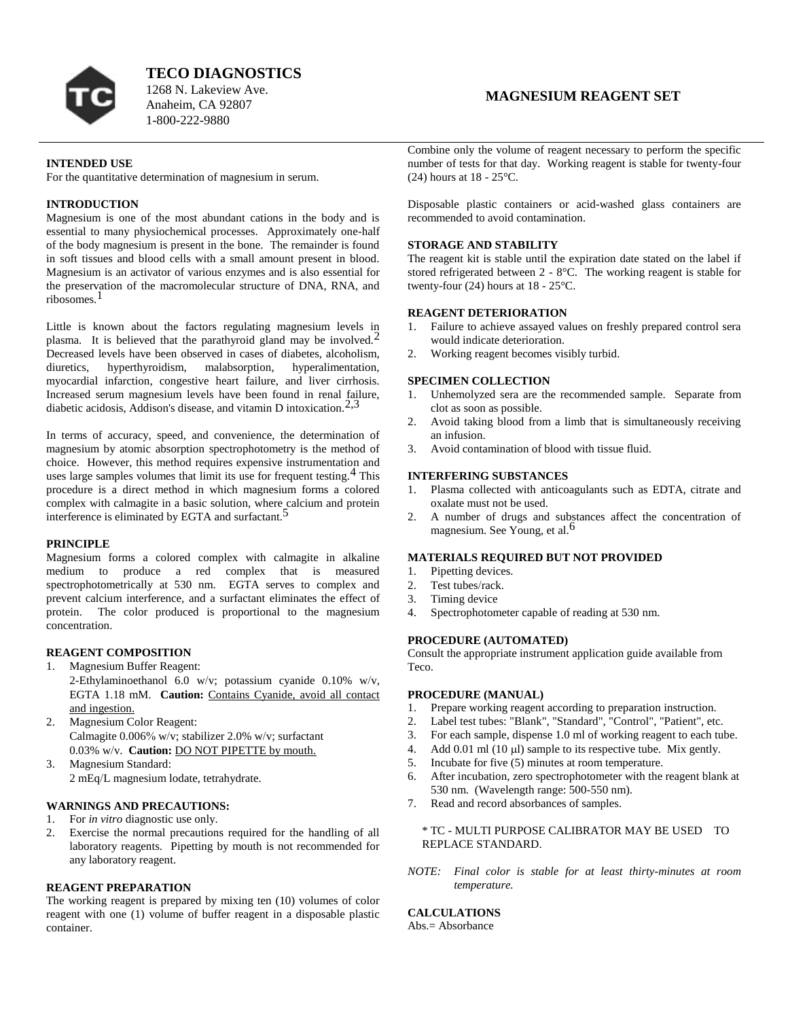

**TECO DIAGNOSTICS**

1268 N. Lakeview Ave. Anaheim, CA 92807 1-800-222-9880

## **INTENDED USE**

For the quantitative determination of magnesium in serum.

# **INTRODUCTION**

Magnesium is one of the most abundant cations in the body and is essential to many physiochemical processes. Approximately one-half of the body magnesium is present in the bone. The remainder is found in soft tissues and blood cells with a small amount present in blood. Magnesium is an activator of various enzymes and is also essential for the preservation of the macromolecular structure of DNA, RNA, and ribosomes.1

Little is known about the factors regulating magnesium levels in plasma. It is believed that the parathyroid gland may be involved.<sup>2</sup> Decreased levels have been observed in cases of diabetes, alcoholism, diuretics, hyperthyroidism, malabsorption, hyperalimentation, myocardial infarction, congestive heart failure, and liver cirrhosis. Increased serum magnesium levels have been found in renal failure, diabetic acidosis, Addison's disease, and vitamin D intoxication.<sup>2,3</sup>

In terms of accuracy, speed, and convenience, the determination of magnesium by atomic absorption spectrophotometry is the method of choice. However, this method requires expensive instrumentation and uses large samples volumes that limit its use for frequent testing.  $4$  This procedure is a direct method in which magnesium forms a colored complex with calmagite in a basic solution, where calcium and protein interference is eliminated by EGTA and surfactant.<sup>5</sup>

#### **PRINCIPLE**

Magnesium forms a colored complex with calmagite in alkaline medium to produce a red complex that is measured spectrophotometrically at 530 nm. EGTA serves to complex and prevent calcium interference, and a surfactant eliminates the effect of protein. The color produced is proportional to the magnesium concentration.

# **REAGENT COMPOSITION**

- 1. Magnesium Buffer Reagent: 2-Ethylaminoethanol 6.0 w/v; potassium cyanide  $0.10\%$  w/v, EGTA 1.18 mM. **Caution:** Contains Cyanide, avoid all contact and ingestion.
- 2. Magnesium Color Reagent: Calmagite 0.006% w/v; stabilizer 2.0% w/v; surfactant 0.03% w/v. **Caution:** DO NOT PIPETTE by mouth.
- 3. Magnesium Standard: 2 mEq/L magnesium lodate, tetrahydrate.

# **WARNINGS AND PRECAUTIONS:**

- 1. For *in vitro* diagnostic use only.
- 2. Exercise the normal precautions required for the handling of all laboratory reagents. Pipetting by mouth is not recommended for any laboratory reagent.

# **REAGENT PREPARATION**

The working reagent is prepared by mixing ten (10) volumes of color reagent with one (1) volume of buffer reagent in a disposable plastic container.

# **MAGNESIUM REAGENT SET**

Combine only the volume of reagent necessary to perform the specific number of tests for that day. Working reagent is stable for twenty-four (24) hours at 18 - 25°C.

Disposable plastic containers or acid-washed glass containers are recommended to avoid contamination.

#### **STORAGE AND STABILITY**

The reagent kit is stable until the expiration date stated on the label if stored refrigerated between 2 - 8°C. The working reagent is stable for twenty-four (24) hours at 18 - 25°C.

## **REAGENT DETERIORATION**

- 1. Failure to achieve assayed values on freshly prepared control sera would indicate deterioration.
- 2. Working reagent becomes visibly turbid.

## **SPECIMEN COLLECTION**

- 1. Unhemolyzed sera are the recommended sample. Separate from clot as soon as possible.
- 2. Avoid taking blood from a limb that is simultaneously receiving an infusion.
- 3. Avoid contamination of blood with tissue fluid.

# **INTERFERING SUBSTANCES**

- 1. Plasma collected with anticoagulants such as EDTA, citrate and oxalate must not be used.
- 2. A number of drugs and substances affect the concentration of magnesium. See Young, et al.<sup>6</sup>

#### **MATERIALS REQUIRED BUT NOT PROVIDED**

- 1. Pipetting devices.
- 2. Test tubes/rack.
- 3. Timing device
- 4. Spectrophotometer capable of reading at 530 nm.

### **PROCEDURE (AUTOMATED)**

Consult the appropriate instrument application guide available from Teco.

## **PROCEDURE (MANUAL)**

- 1. Prepare working reagent according to preparation instruction.
- 2. Label test tubes: "Blank", "Standard", "Control", "Patient", etc.
- 3. For each sample, dispense 1.0 ml of working reagent to each tube.
- 4. Add 0.01 ml (10  $\mu$ ) sample to its respective tube. Mix gently.
- 5. Incubate for five (5) minutes at room temperature.
- 6. After incubation, zero spectrophotometer with the reagent blank at 530 nm. (Wavelength range: 500-550 nm).
- 7. Read and record absorbances of samples.

## \* TC - MULTI PURPOSE CALIBRATOR MAY BE USED TO REPLACE STANDARD.

*NOTE: Final color is stable for at least thirty-minutes at room temperature.*

# **CALCULATIONS**

Abs.= Absorbance